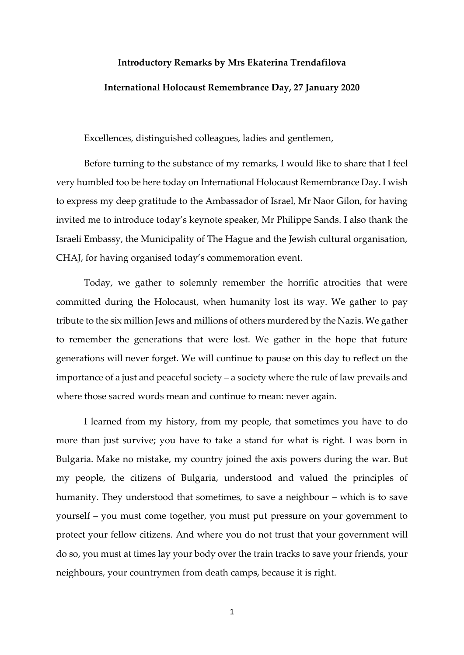## **Introductory Remarks by Mrs Ekaterina Trendafilova**

## **International Holocaust Remembrance Day, 27 January 2020**

Excellences, distinguished colleagues, ladies and gentlemen,

Before turning to the substance of my remarks, I would like to share that I feel very humbled too be here today on International Holocaust Remembrance Day. I wish to express my deep gratitude to the Ambassador of Israel, Mr Naor Gilon, for having invited me to introduce today's keynote speaker, Mr Philippe Sands. I also thank the Israeli Embassy, the Municipality of The Hague and the Jewish cultural organisation, CHAJ, for having organised today's commemoration event.

Today, we gather to solemnly remember the horrific atrocities that were committed during the Holocaust, when humanity lost its way. We gather to pay tribute to the six million Jews and millions of others murdered by the Nazis. We gather to remember the generations that were lost. We gather in the hope that future generations will never forget. We will continue to pause on this day to reflect on the importance of a just and peaceful society – a society where the rule of law prevails and where those sacred words mean and continue to mean: never again.

I learned from my history, from my people, that sometimes you have to do more than just survive; you have to take a stand for what is right. I was born in Bulgaria. Make no mistake, my country joined the axis powers during the war. But my people, the citizens of Bulgaria, understood and valued the principles of humanity. They understood that sometimes, to save a neighbour – which is to save yourself – you must come together, you must put pressure on your government to protect your fellow citizens. And where you do not trust that your government will do so, you must at times lay your body over the train tracks to save your friends, your neighbours, your countrymen from death camps, because it is right.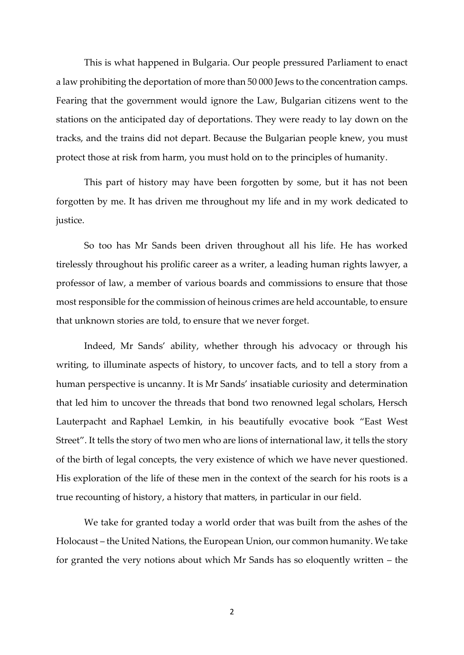This is what happened in Bulgaria. Our people pressured Parliament to enact a law prohibiting the deportation of more than 50 000 Jews to the concentration camps. Fearing that the government would ignore the Law, Bulgarian citizens went to the stations on the anticipated day of deportations. They were ready to lay down on the tracks, and the trains did not depart. Because the Bulgarian people knew, you must protect those at risk from harm, you must hold on to the principles of humanity.

This part of history may have been forgotten by some, but it has not been forgotten by me. It has driven me throughout my life and in my work dedicated to justice.

So too has Mr Sands been driven throughout all his life. He has worked tirelessly throughout his prolific career as a writer, a leading human rights lawyer, a professor of law, a member of various boards and commissions to ensure that those most responsible for the commission of heinous crimes are held accountable, to ensure that unknown stories are told, to ensure that we never forget.

Indeed, Mr Sands' ability, whether through his advocacy or through his writing, to illuminate aspects of history, to uncover facts, and to tell a story from a human perspective is uncanny. It is Mr Sands' insatiable curiosity and determination that led him to uncover the threads that bond two renowned legal scholars, Hersch Lauterpacht and Raphael Lemkin, in his beautifully evocative book "East West Street". It tells the story of two men who are lions of international law, it tells the story of the birth of legal concepts, the very existence of which we have never questioned. His exploration of the life of these men in the context of the search for his roots is a true recounting of history, a history that matters, in particular in our field.

We take for granted today a world order that was built from the ashes of the Holocaust – the United Nations, the European Union, our common humanity. We take for granted the very notions about which Mr Sands has so eloquently written – the